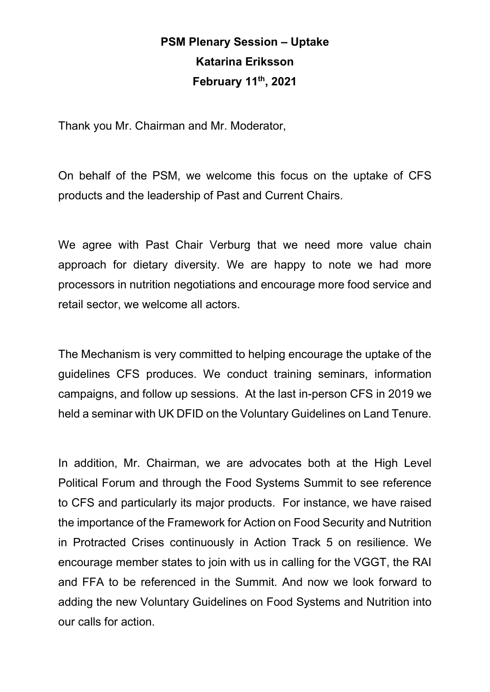## **PSM Plenary Session – Uptake Katarina Eriksson February 11th, 2021**

Thank you Mr. Chairman and Mr. Moderator,

On behalf of the PSM, we welcome this focus on the uptake of CFS products and the leadership of Past and Current Chairs.

We agree with Past Chair Verburg that we need more value chain approach for dietary diversity. We are happy to note we had more processors in nutrition negotiations and encourage more food service and retail sector, we welcome all actors.

The Mechanism is very committed to helping encourage the uptake of the guidelines CFS produces. We conduct training seminars, information campaigns, and follow up sessions. At the last in-person CFS in 2019 we held a seminar with UK DFID on the Voluntary Guidelines on Land Tenure.

In addition, Mr. Chairman, we are advocates both at the High Level Political Forum and through the Food Systems Summit to see reference to CFS and particularly its major products. For instance, we have raised the importance of the Framework for Action on Food Security and Nutrition in Protracted Crises continuously in Action Track 5 on resilience. We encourage member states to join with us in calling for the VGGT, the RAI and FFA to be referenced in the Summit. And now we look forward to adding the new Voluntary Guidelines on Food Systems and Nutrition into our calls for action.